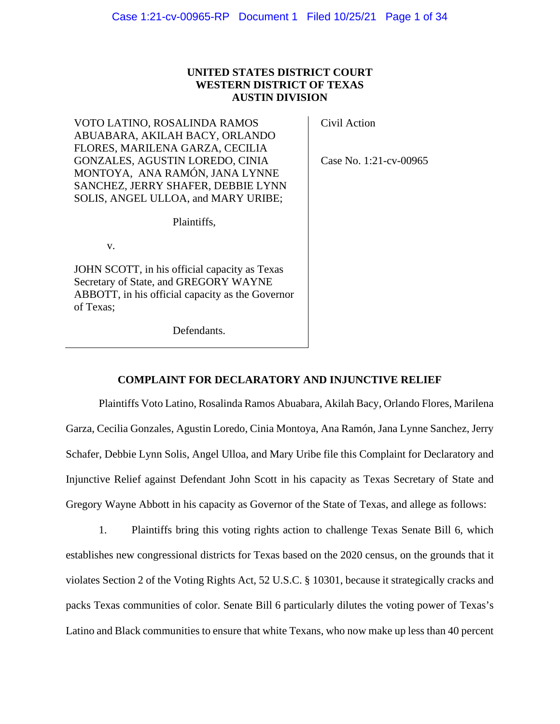# **UNITED STATES DISTRICT COURT WESTERN DISTRICT OF TEXAS AUSTIN DIVISION**

VOTO LATINO, ROSALINDA RAMOS ABUABARA, AKILAH BACY, ORLANDO FLORES, MARILENA GARZA, CECILIA GONZALES, AGUSTIN LOREDO, CINIA MONTOYA, ANA RAMÓN, JANA LYNNE SANCHEZ, JERRY SHAFER, DEBBIE LYNN SOLIS, ANGEL ULLOA, and MARY URIBE;

Plaintiffs,

v.

JOHN SCOTT, in his official capacity as Texas Secretary of State, and GREGORY WAYNE ABBOTT, in his official capacity as the Governor of Texas;

Defendants.

Civil Action

Case No. 1:21-cv-00965

# **COMPLAINT FOR DECLARATORY AND INJUNCTIVE RELIEF**

Plaintiffs Voto Latino, Rosalinda Ramos Abuabara, Akilah Bacy, Orlando Flores, Marilena Garza, Cecilia Gonzales, Agustin Loredo, Cinia Montoya, Ana Ramón, Jana Lynne Sanchez, Jerry Schafer, Debbie Lynn Solis, Angel Ulloa, and Mary Uribe file this Complaint for Declaratory and Injunctive Relief against Defendant John Scott in his capacity as Texas Secretary of State and Gregory Wayne Abbott in his capacity as Governor of the State of Texas, and allege as follows:

1. Plaintiffs bring this voting rights action to challenge Texas Senate Bill 6, which establishes new congressional districts for Texas based on the 2020 census, on the grounds that it violates Section 2 of the Voting Rights Act, 52 U.S.C. § 10301, because it strategically cracks and packs Texas communities of color. Senate Bill 6 particularly dilutes the voting power of Texas's Latino and Black communities to ensure that white Texans, who now make up less than 40 percent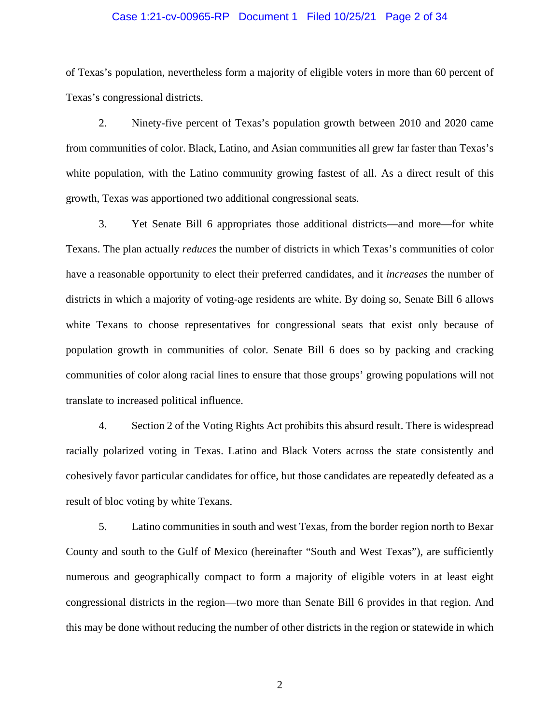# Case 1:21-cv-00965-RP Document 1 Filed 10/25/21 Page 2 of 34

of Texas's population, nevertheless form a majority of eligible voters in more than 60 percent of Texas's congressional districts.

2. Ninety-five percent of Texas's population growth between 2010 and 2020 came from communities of color. Black, Latino, and Asian communities all grew far faster than Texas's white population, with the Latino community growing fastest of all. As a direct result of this growth, Texas was apportioned two additional congressional seats.

3. Yet Senate Bill 6 appropriates those additional districts—and more—for white Texans. The plan actually *reduces* the number of districts in which Texas's communities of color have a reasonable opportunity to elect their preferred candidates, and it *increases* the number of districts in which a majority of voting-age residents are white. By doing so, Senate Bill 6 allows white Texans to choose representatives for congressional seats that exist only because of population growth in communities of color. Senate Bill 6 does so by packing and cracking communities of color along racial lines to ensure that those groups' growing populations will not translate to increased political influence.

4. Section 2 of the Voting Rights Act prohibits this absurd result. There is widespread racially polarized voting in Texas. Latino and Black Voters across the state consistently and cohesively favor particular candidates for office, but those candidates are repeatedly defeated as a result of bloc voting by white Texans.

5. Latino communities in south and west Texas, from the border region north to Bexar County and south to the Gulf of Mexico (hereinafter "South and West Texas"), are sufficiently numerous and geographically compact to form a majority of eligible voters in at least eight congressional districts in the region—two more than Senate Bill 6 provides in that region. And this may be done without reducing the number of other districts in the region or statewide in which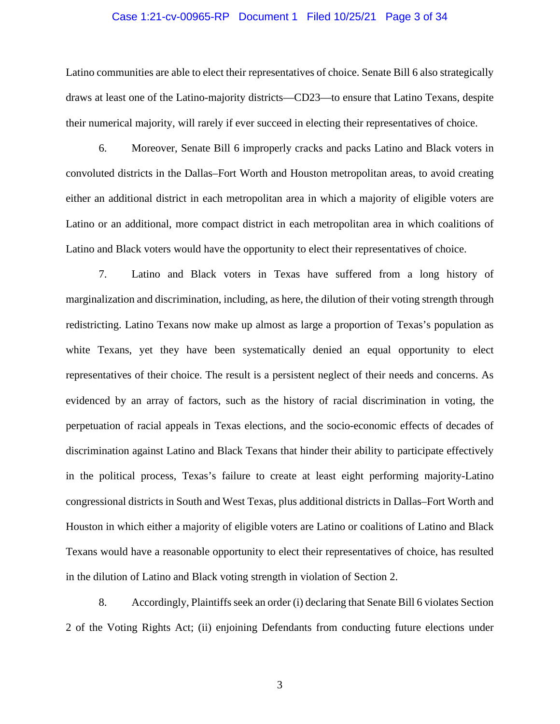# Case 1:21-cv-00965-RP Document 1 Filed 10/25/21 Page 3 of 34

Latino communities are able to elect their representatives of choice. Senate Bill 6 also strategically draws at least one of the Latino-majority districts—CD23—to ensure that Latino Texans, despite their numerical majority, will rarely if ever succeed in electing their representatives of choice.

6. Moreover, Senate Bill 6 improperly cracks and packs Latino and Black voters in convoluted districts in the Dallas–Fort Worth and Houston metropolitan areas, to avoid creating either an additional district in each metropolitan area in which a majority of eligible voters are Latino or an additional, more compact district in each metropolitan area in which coalitions of Latino and Black voters would have the opportunity to elect their representatives of choice.

7. Latino and Black voters in Texas have suffered from a long history of marginalization and discrimination, including, as here, the dilution of their voting strength through redistricting. Latino Texans now make up almost as large a proportion of Texas's population as white Texans, yet they have been systematically denied an equal opportunity to elect representatives of their choice. The result is a persistent neglect of their needs and concerns. As evidenced by an array of factors, such as the history of racial discrimination in voting, the perpetuation of racial appeals in Texas elections, and the socio-economic effects of decades of discrimination against Latino and Black Texans that hinder their ability to participate effectively in the political process, Texas's failure to create at least eight performing majority-Latino congressional districts in South and West Texas, plus additional districts in Dallas–Fort Worth and Houston in which either a majority of eligible voters are Latino or coalitions of Latino and Black Texans would have a reasonable opportunity to elect their representatives of choice, has resulted in the dilution of Latino and Black voting strength in violation of Section 2.

8. Accordingly, Plaintiffs seek an order (i) declaring that Senate Bill 6 violates Section 2 of the Voting Rights Act; (ii) enjoining Defendants from conducting future elections under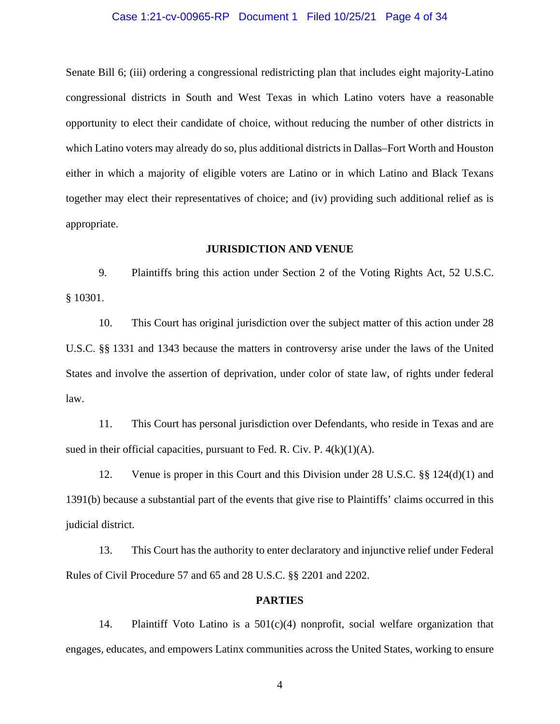# Case 1:21-cv-00965-RP Document 1 Filed 10/25/21 Page 4 of 34

Senate Bill 6; (iii) ordering a congressional redistricting plan that includes eight majority-Latino congressional districts in South and West Texas in which Latino voters have a reasonable opportunity to elect their candidate of choice, without reducing the number of other districts in which Latino voters may already do so, plus additional districts in Dallas–Fort Worth and Houston either in which a majority of eligible voters are Latino or in which Latino and Black Texans together may elect their representatives of choice; and (iv) providing such additional relief as is appropriate.

# **JURISDICTION AND VENUE**

9. Plaintiffs bring this action under Section 2 of the Voting Rights Act, 52 U.S.C. § 10301.

10. This Court has original jurisdiction over the subject matter of this action under 28 U.S.C. §§ 1331 and 1343 because the matters in controversy arise under the laws of the United States and involve the assertion of deprivation, under color of state law, of rights under federal law.

11. This Court has personal jurisdiction over Defendants, who reside in Texas and are sued in their official capacities, pursuant to Fed. R. Civ. P.  $4(k)(1)(A)$ .

12. Venue is proper in this Court and this Division under 28 U.S.C. §§ 124(d)(1) and 1391(b) because a substantial part of the events that give rise to Plaintiffs' claims occurred in this judicial district.

13. This Court has the authority to enter declaratory and injunctive relief under Federal Rules of Civil Procedure 57 and 65 and 28 U.S.C. §§ 2201 and 2202.

# **PARTIES**

14. Plaintiff Voto Latino is a 501(c)(4) nonprofit, social welfare organization that engages, educates, and empowers Latinx communities across the United States, working to ensure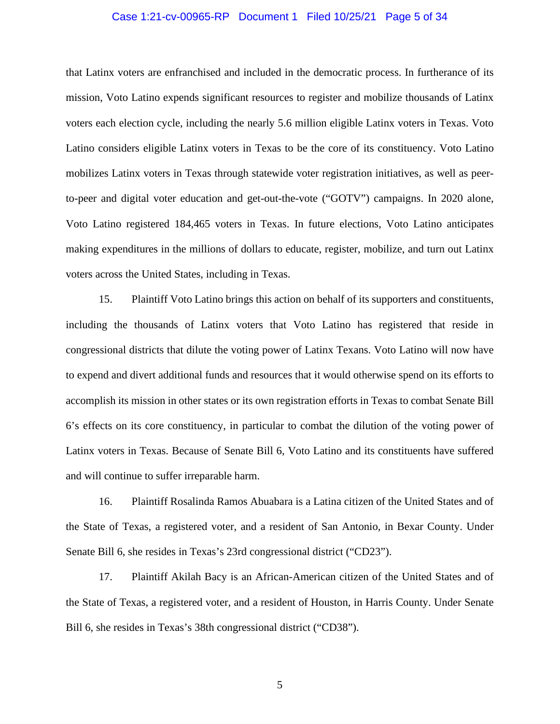# Case 1:21-cv-00965-RP Document 1 Filed 10/25/21 Page 5 of 34

that Latinx voters are enfranchised and included in the democratic process. In furtherance of its mission, Voto Latino expends significant resources to register and mobilize thousands of Latinx voters each election cycle, including the nearly 5.6 million eligible Latinx voters in Texas. Voto Latino considers eligible Latinx voters in Texas to be the core of its constituency. Voto Latino mobilizes Latinx voters in Texas through statewide voter registration initiatives, as well as peerto-peer and digital voter education and get-out-the-vote ("GOTV") campaigns. In 2020 alone, Voto Latino registered 184,465 voters in Texas. In future elections, Voto Latino anticipates making expenditures in the millions of dollars to educate, register, mobilize, and turn out Latinx voters across the United States, including in Texas.

15. Plaintiff Voto Latino brings this action on behalf of its supporters and constituents, including the thousands of Latinx voters that Voto Latino has registered that reside in congressional districts that dilute the voting power of Latinx Texans. Voto Latino will now have to expend and divert additional funds and resources that it would otherwise spend on its efforts to accomplish its mission in other states or its own registration efforts in Texas to combat Senate Bill 6's effects on its core constituency, in particular to combat the dilution of the voting power of Latinx voters in Texas. Because of Senate Bill 6, Voto Latino and its constituents have suffered and will continue to suffer irreparable harm.

16. Plaintiff Rosalinda Ramos Abuabara is a Latina citizen of the United States and of the State of Texas, a registered voter, and a resident of San Antonio, in Bexar County. Under Senate Bill 6, she resides in Texas's 23rd congressional district ("CD23").

17. Plaintiff Akilah Bacy is an African-American citizen of the United States and of the State of Texas, a registered voter, and a resident of Houston, in Harris County. Under Senate Bill 6, she resides in Texas's 38th congressional district ("CD38").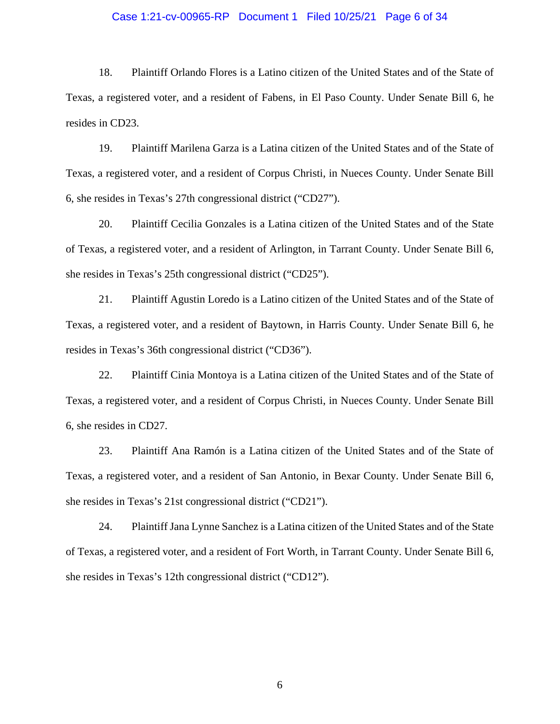# Case 1:21-cv-00965-RP Document 1 Filed 10/25/21 Page 6 of 34

18. Plaintiff Orlando Flores is a Latino citizen of the United States and of the State of Texas, a registered voter, and a resident of Fabens, in El Paso County. Under Senate Bill 6, he resides in CD23.

19. Plaintiff Marilena Garza is a Latina citizen of the United States and of the State of Texas, a registered voter, and a resident of Corpus Christi, in Nueces County. Under Senate Bill 6, she resides in Texas's 27th congressional district ("CD27").

20. Plaintiff Cecilia Gonzales is a Latina citizen of the United States and of the State of Texas, a registered voter, and a resident of Arlington, in Tarrant County. Under Senate Bill 6, she resides in Texas's 25th congressional district ("CD25").

21. Plaintiff Agustin Loredo is a Latino citizen of the United States and of the State of Texas, a registered voter, and a resident of Baytown, in Harris County. Under Senate Bill 6, he resides in Texas's 36th congressional district ("CD36").

22. Plaintiff Cinia Montoya is a Latina citizen of the United States and of the State of Texas, a registered voter, and a resident of Corpus Christi, in Nueces County. Under Senate Bill 6, she resides in CD27.

23. Plaintiff Ana Ramón is a Latina citizen of the United States and of the State of Texas, a registered voter, and a resident of San Antonio, in Bexar County. Under Senate Bill 6, she resides in Texas's 21st congressional district ("CD21").

24. Plaintiff Jana Lynne Sanchez is a Latina citizen of the United States and of the State of Texas, a registered voter, and a resident of Fort Worth, in Tarrant County. Under Senate Bill 6, she resides in Texas's 12th congressional district ("CD12").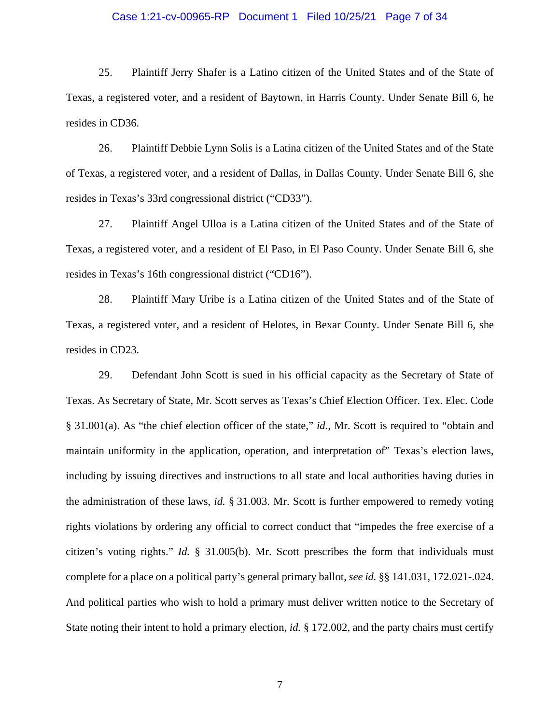# Case 1:21-cv-00965-RP Document 1 Filed 10/25/21 Page 7 of 34

25. Plaintiff Jerry Shafer is a Latino citizen of the United States and of the State of Texas, a registered voter, and a resident of Baytown, in Harris County. Under Senate Bill 6, he resides in CD36.

26. Plaintiff Debbie Lynn Solis is a Latina citizen of the United States and of the State of Texas, a registered voter, and a resident of Dallas, in Dallas County. Under Senate Bill 6, she resides in Texas's 33rd congressional district ("CD33").

27. Plaintiff Angel Ulloa is a Latina citizen of the United States and of the State of Texas, a registered voter, and a resident of El Paso, in El Paso County. Under Senate Bill 6, she resides in Texas's 16th congressional district ("CD16").

28. Plaintiff Mary Uribe is a Latina citizen of the United States and of the State of Texas, a registered voter, and a resident of Helotes, in Bexar County. Under Senate Bill 6, she resides in CD23.

29. Defendant John Scott is sued in his official capacity as the Secretary of State of Texas. As Secretary of State, Mr. Scott serves as Texas's Chief Election Officer. Tex. Elec. Code § 31.001(a). As "the chief election officer of the state," *id.*, Mr. Scott is required to "obtain and maintain uniformity in the application, operation, and interpretation of" Texas's election laws, including by issuing directives and instructions to all state and local authorities having duties in the administration of these laws, *id.* § 31.003. Mr. Scott is further empowered to remedy voting rights violations by ordering any official to correct conduct that "impedes the free exercise of a citizen's voting rights." *Id.* § 31.005(b). Mr. Scott prescribes the form that individuals must complete for a place on a political party's general primary ballot, *see id.* §§ 141.031, 172.021-.024. And political parties who wish to hold a primary must deliver written notice to the Secretary of State noting their intent to hold a primary election, *id.* § 172.002, and the party chairs must certify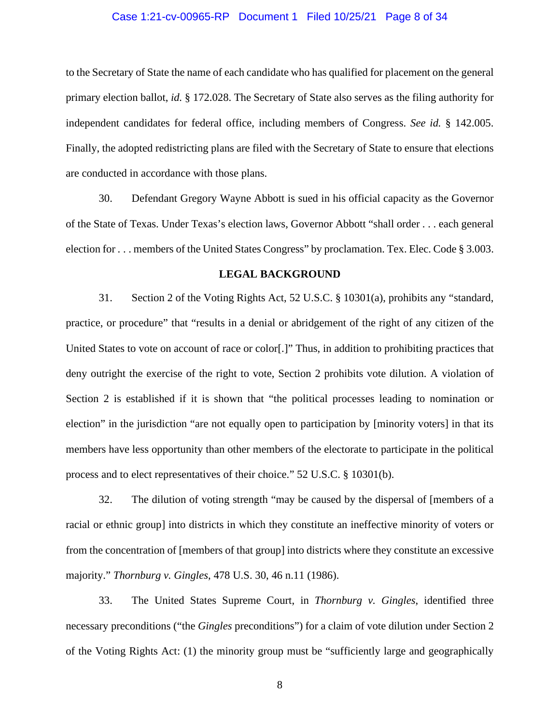# Case 1:21-cv-00965-RP Document 1 Filed 10/25/21 Page 8 of 34

to the Secretary of State the name of each candidate who has qualified for placement on the general primary election ballot, *id.* § 172.028. The Secretary of State also serves as the filing authority for independent candidates for federal office, including members of Congress. *See id.* § 142.005. Finally, the adopted redistricting plans are filed with the Secretary of State to ensure that elections are conducted in accordance with those plans.

30. Defendant Gregory Wayne Abbott is sued in his official capacity as the Governor of the State of Texas. Under Texas's election laws, Governor Abbott "shall order . . . each general election for . . . members of the United States Congress" by proclamation. Tex. Elec. Code § 3.003.

# **LEGAL BACKGROUND**

31. Section 2 of the Voting Rights Act, 52 U.S.C. § 10301(a), prohibits any "standard, practice, or procedure" that "results in a denial or abridgement of the right of any citizen of the United States to vote on account of race or color[.]" Thus, in addition to prohibiting practices that deny outright the exercise of the right to vote, Section 2 prohibits vote dilution. A violation of Section 2 is established if it is shown that "the political processes leading to nomination or election" in the jurisdiction "are not equally open to participation by [minority voters] in that its members have less opportunity than other members of the electorate to participate in the political process and to elect representatives of their choice." 52 U.S.C. § 10301(b).

32. The dilution of voting strength "may be caused by the dispersal of [members of a racial or ethnic group] into districts in which they constitute an ineffective minority of voters or from the concentration of [members of that group] into districts where they constitute an excessive majority." *Thornburg v. Gingles*, 478 U.S. 30, 46 n.11 (1986).

33. The United States Supreme Court, in *Thornburg v. Gingles*, identified three necessary preconditions ("the *Gingles* preconditions") for a claim of vote dilution under Section 2 of the Voting Rights Act: (1) the minority group must be "sufficiently large and geographically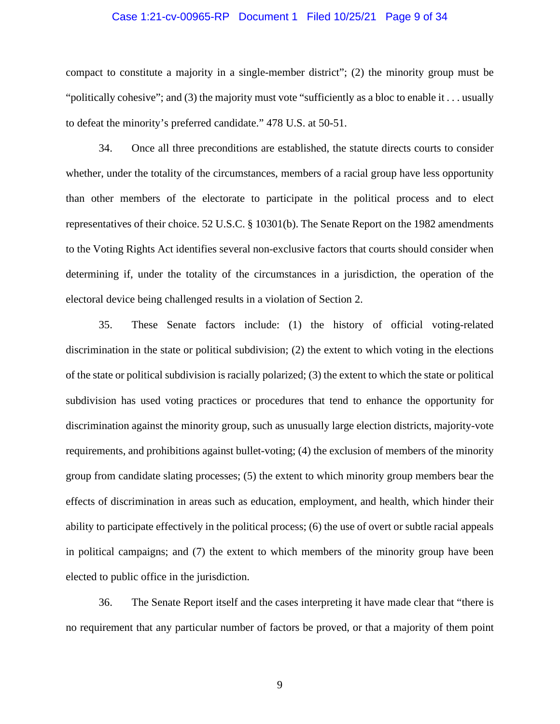# Case 1:21-cv-00965-RP Document 1 Filed 10/25/21 Page 9 of 34

compact to constitute a majority in a single-member district"; (2) the minority group must be "politically cohesive"; and (3) the majority must vote "sufficiently as a bloc to enable it . . . usually to defeat the minority's preferred candidate." 478 U.S. at 50-51.

34. Once all three preconditions are established, the statute directs courts to consider whether, under the totality of the circumstances, members of a racial group have less opportunity than other members of the electorate to participate in the political process and to elect representatives of their choice. 52 U.S.C. § 10301(b). The Senate Report on the 1982 amendments to the Voting Rights Act identifies several non-exclusive factors that courts should consider when determining if, under the totality of the circumstances in a jurisdiction, the operation of the electoral device being challenged results in a violation of Section 2.

35. These Senate factors include: (1) the history of official voting-related discrimination in the state or political subdivision; (2) the extent to which voting in the elections of the state or political subdivision is racially polarized; (3) the extent to which the state or political subdivision has used voting practices or procedures that tend to enhance the opportunity for discrimination against the minority group, such as unusually large election districts, majority-vote requirements, and prohibitions against bullet-voting; (4) the exclusion of members of the minority group from candidate slating processes; (5) the extent to which minority group members bear the effects of discrimination in areas such as education, employment, and health, which hinder their ability to participate effectively in the political process; (6) the use of overt or subtle racial appeals in political campaigns; and (7) the extent to which members of the minority group have been elected to public office in the jurisdiction.

36. The Senate Report itself and the cases interpreting it have made clear that "there is no requirement that any particular number of factors be proved, or that a majority of them point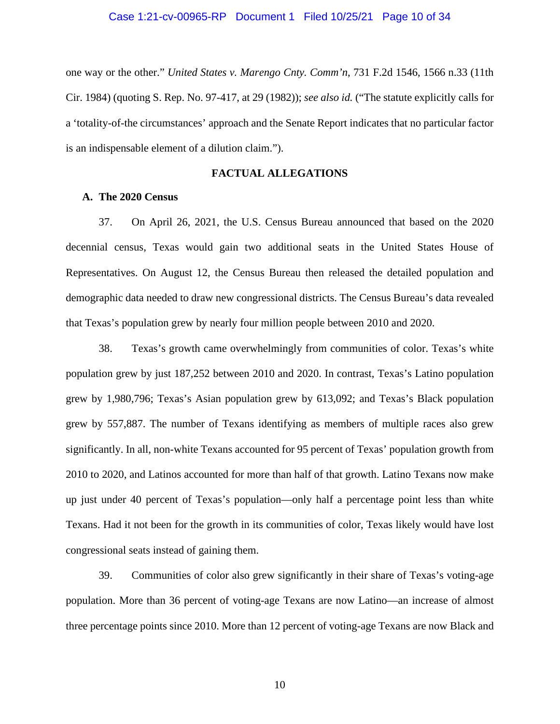### Case 1:21-cv-00965-RP Document 1 Filed 10/25/21 Page 10 of 34

one way or the other." *United States v. Marengo Cnty. Comm'n*, 731 F.2d 1546, 1566 n.33 (11th Cir. 1984) (quoting S. Rep. No. 97-417, at 29 (1982)); *see also id.* ("The statute explicitly calls for a 'totality-of-the circumstances' approach and the Senate Report indicates that no particular factor is an indispensable element of a dilution claim.").

# **FACTUAL ALLEGATIONS**

# **A. The 2020 Census**

37. On April 26, 2021, the U.S. Census Bureau announced that based on the 2020 decennial census, Texas would gain two additional seats in the United States House of Representatives. On August 12, the Census Bureau then released the detailed population and demographic data needed to draw new congressional districts. The Census Bureau's data revealed that Texas's population grew by nearly four million people between 2010 and 2020.

38. Texas's growth came overwhelmingly from communities of color. Texas's white population grew by just 187,252 between 2010 and 2020. In contrast, Texas's Latino population grew by 1,980,796; Texas's Asian population grew by 613,092; and Texas's Black population grew by 557,887. The number of Texans identifying as members of multiple races also grew significantly. In all, non-white Texans accounted for 95 percent of Texas' population growth from 2010 to 2020, and Latinos accounted for more than half of that growth. Latino Texans now make up just under 40 percent of Texas's population—only half a percentage point less than white Texans. Had it not been for the growth in its communities of color, Texas likely would have lost congressional seats instead of gaining them.

39. Communities of color also grew significantly in their share of Texas's voting-age population. More than 36 percent of voting-age Texans are now Latino—an increase of almost three percentage points since 2010. More than 12 percent of voting-age Texans are now Black and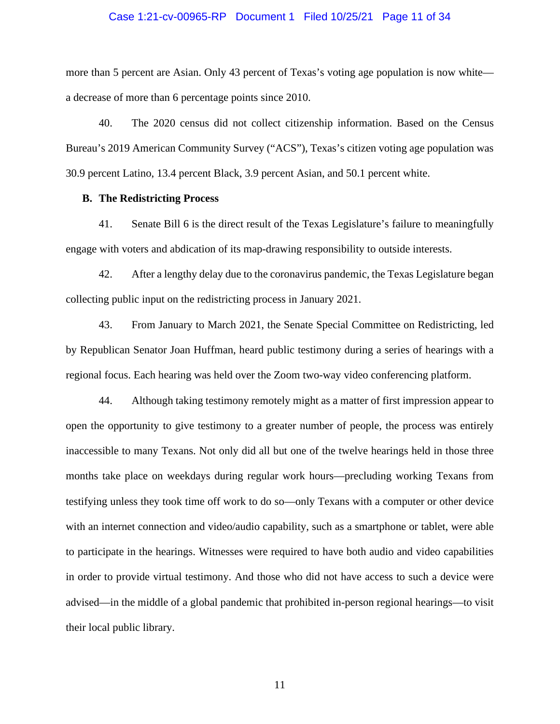## Case 1:21-cv-00965-RP Document 1 Filed 10/25/21 Page 11 of 34

more than 5 percent are Asian. Only 43 percent of Texas's voting age population is now white a decrease of more than 6 percentage points since 2010.

40. The 2020 census did not collect citizenship information. Based on the Census Bureau's 2019 American Community Survey ("ACS"), Texas's citizen voting age population was 30.9 percent Latino, 13.4 percent Black, 3.9 percent Asian, and 50.1 percent white.

# **B. The Redistricting Process**

41. Senate Bill 6 is the direct result of the Texas Legislature's failure to meaningfully engage with voters and abdication of its map-drawing responsibility to outside interests.

42. After a lengthy delay due to the coronavirus pandemic, the Texas Legislature began collecting public input on the redistricting process in January 2021.

43. From January to March 2021, the Senate Special Committee on Redistricting, led by Republican Senator Joan Huffman, heard public testimony during a series of hearings with a regional focus. Each hearing was held over the Zoom two-way video conferencing platform.

44. Although taking testimony remotely might as a matter of first impression appear to open the opportunity to give testimony to a greater number of people, the process was entirely inaccessible to many Texans. Not only did all but one of the twelve hearings held in those three months take place on weekdays during regular work hours—precluding working Texans from testifying unless they took time off work to do so—only Texans with a computer or other device with an internet connection and video/audio capability, such as a smartphone or tablet, were able to participate in the hearings. Witnesses were required to have both audio and video capabilities in order to provide virtual testimony. And those who did not have access to such a device were advised—in the middle of a global pandemic that prohibited in-person regional hearings—to visit their local public library.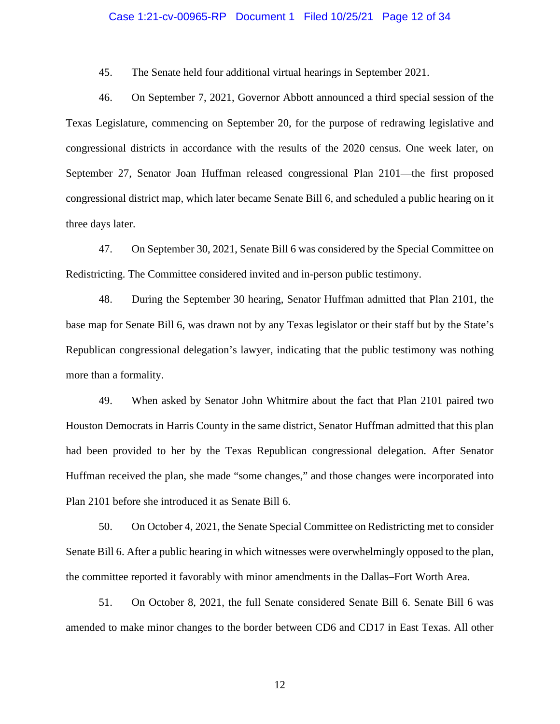# Case 1:21-cv-00965-RP Document 1 Filed 10/25/21 Page 12 of 34

45. The Senate held four additional virtual hearings in September 2021.

46. On September 7, 2021, Governor Abbott announced a third special session of the Texas Legislature, commencing on September 20, for the purpose of redrawing legislative and congressional districts in accordance with the results of the 2020 census. One week later, on September 27, Senator Joan Huffman released congressional Plan 2101—the first proposed congressional district map, which later became Senate Bill 6, and scheduled a public hearing on it three days later.

47. On September 30, 2021, Senate Bill 6 was considered by the Special Committee on Redistricting. The Committee considered invited and in-person public testimony.

48. During the September 30 hearing, Senator Huffman admitted that Plan 2101, the base map for Senate Bill 6, was drawn not by any Texas legislator or their staff but by the State's Republican congressional delegation's lawyer, indicating that the public testimony was nothing more than a formality.

49. When asked by Senator John Whitmire about the fact that Plan 2101 paired two Houston Democrats in Harris County in the same district, Senator Huffman admitted that this plan had been provided to her by the Texas Republican congressional delegation. After Senator Huffman received the plan, she made "some changes," and those changes were incorporated into Plan 2101 before she introduced it as Senate Bill 6.

50. On October 4, 2021, the Senate Special Committee on Redistricting met to consider Senate Bill 6. After a public hearing in which witnesses were overwhelmingly opposed to the plan, the committee reported it favorably with minor amendments in the Dallas–Fort Worth Area.

51. On October 8, 2021, the full Senate considered Senate Bill 6. Senate Bill 6 was amended to make minor changes to the border between CD6 and CD17 in East Texas. All other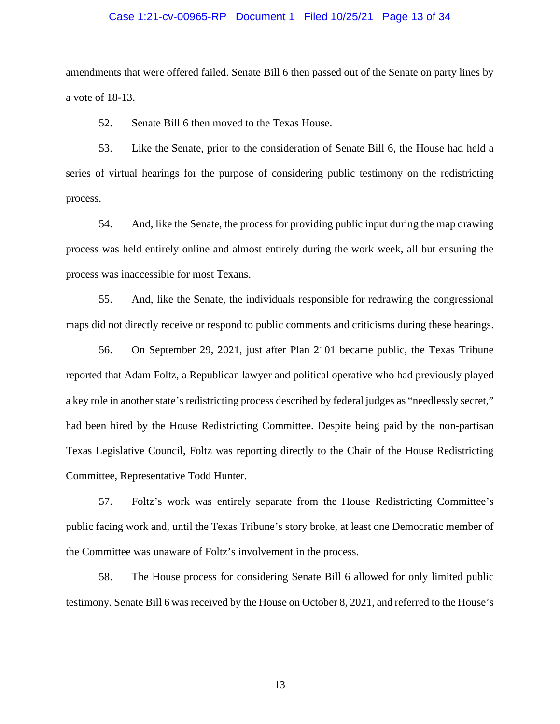# Case 1:21-cv-00965-RP Document 1 Filed 10/25/21 Page 13 of 34

amendments that were offered failed. Senate Bill 6 then passed out of the Senate on party lines by a vote of 18-13.

52. Senate Bill 6 then moved to the Texas House.

53. Like the Senate, prior to the consideration of Senate Bill 6, the House had held a series of virtual hearings for the purpose of considering public testimony on the redistricting process.

54. And, like the Senate, the process for providing public input during the map drawing process was held entirely online and almost entirely during the work week, all but ensuring the process was inaccessible for most Texans.

55. And, like the Senate, the individuals responsible for redrawing the congressional maps did not directly receive or respond to public comments and criticisms during these hearings.

56. On September 29, 2021, just after Plan 2101 became public, the Texas Tribune reported that Adam Foltz, a Republican lawyer and political operative who had previously played a key role in another state's redistricting process described by federal judges as "needlessly secret," had been hired by the House Redistricting Committee. Despite being paid by the non-partisan Texas Legislative Council, Foltz was reporting directly to the Chair of the House Redistricting Committee, Representative Todd Hunter.

57. Foltz's work was entirely separate from the House Redistricting Committee's public facing work and, until the Texas Tribune's story broke, at least one Democratic member of the Committee was unaware of Foltz's involvement in the process.

58. The House process for considering Senate Bill 6 allowed for only limited public testimony. Senate Bill 6 was received by the House on October 8, 2021, and referred to the House's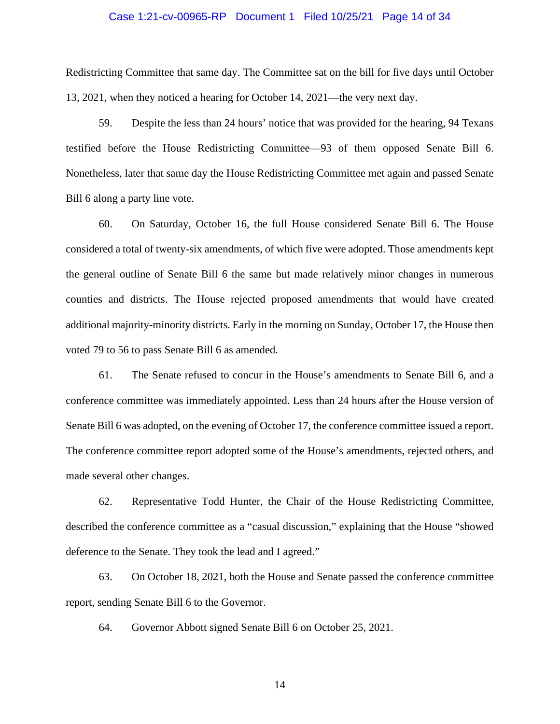# Case 1:21-cv-00965-RP Document 1 Filed 10/25/21 Page 14 of 34

Redistricting Committee that same day. The Committee sat on the bill for five days until October 13, 2021, when they noticed a hearing for October 14, 2021—the very next day.

59. Despite the less than 24 hours' notice that was provided for the hearing, 94 Texans testified before the House Redistricting Committee—93 of them opposed Senate Bill 6. Nonetheless, later that same day the House Redistricting Committee met again and passed Senate Bill 6 along a party line vote.

60. On Saturday, October 16, the full House considered Senate Bill 6. The House considered a total of twenty-six amendments, of which five were adopted. Those amendments kept the general outline of Senate Bill 6 the same but made relatively minor changes in numerous counties and districts. The House rejected proposed amendments that would have created additional majority-minority districts. Early in the morning on Sunday, October 17, the House then voted 79 to 56 to pass Senate Bill 6 as amended.

61. The Senate refused to concur in the House's amendments to Senate Bill 6, and a conference committee was immediately appointed. Less than 24 hours after the House version of Senate Bill 6 was adopted, on the evening of October 17, the conference committee issued a report. The conference committee report adopted some of the House's amendments, rejected others, and made several other changes.

62. Representative Todd Hunter, the Chair of the House Redistricting Committee, described the conference committee as a "casual discussion," explaining that the House "showed deference to the Senate. They took the lead and I agreed."

63. On October 18, 2021, both the House and Senate passed the conference committee report, sending Senate Bill 6 to the Governor.

64. Governor Abbott signed Senate Bill 6 on October 25, 2021.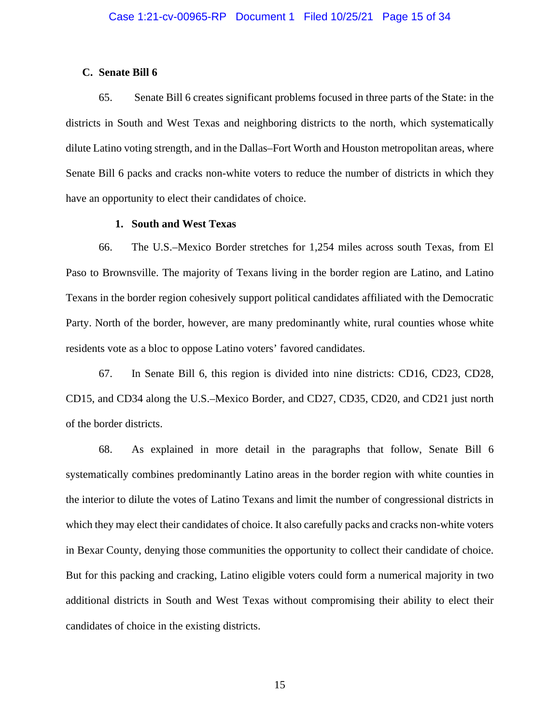# **C. Senate Bill 6**

65. Senate Bill 6 creates significant problems focused in three parts of the State: in the districts in South and West Texas and neighboring districts to the north, which systematically dilute Latino voting strength, and in the Dallas–Fort Worth and Houston metropolitan areas, where Senate Bill 6 packs and cracks non-white voters to reduce the number of districts in which they have an opportunity to elect their candidates of choice.

# **1. South and West Texas**

66. The U.S.–Mexico Border stretches for 1,254 miles across south Texas, from El Paso to Brownsville. The majority of Texans living in the border region are Latino, and Latino Texans in the border region cohesively support political candidates affiliated with the Democratic Party. North of the border, however, are many predominantly white, rural counties whose white residents vote as a bloc to oppose Latino voters' favored candidates.

67. In Senate Bill 6, this region is divided into nine districts: CD16, CD23, CD28, CD15, and CD34 along the U.S.–Mexico Border, and CD27, CD35, CD20, and CD21 just north of the border districts.

68. As explained in more detail in the paragraphs that follow, Senate Bill 6 systematically combines predominantly Latino areas in the border region with white counties in the interior to dilute the votes of Latino Texans and limit the number of congressional districts in which they may elect their candidates of choice. It also carefully packs and cracks non-white voters in Bexar County, denying those communities the opportunity to collect their candidate of choice. But for this packing and cracking, Latino eligible voters could form a numerical majority in two additional districts in South and West Texas without compromising their ability to elect their candidates of choice in the existing districts.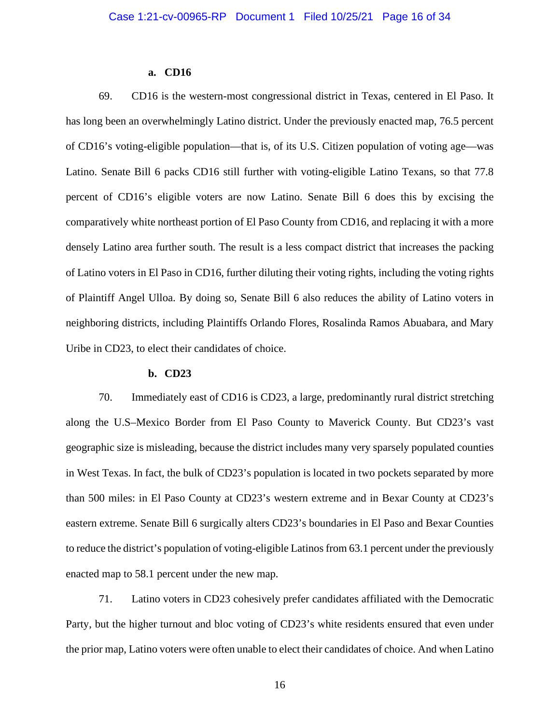# **a. CD16**

69. CD16 is the western-most congressional district in Texas, centered in El Paso. It has long been an overwhelmingly Latino district. Under the previously enacted map, 76.5 percent of CD16's voting-eligible population—that is, of its U.S. Citizen population of voting age—was Latino. Senate Bill 6 packs CD16 still further with voting-eligible Latino Texans, so that 77.8 percent of CD16's eligible voters are now Latino. Senate Bill 6 does this by excising the comparatively white northeast portion of El Paso County from CD16, and replacing it with a more densely Latino area further south. The result is a less compact district that increases the packing of Latino voters in El Paso in CD16, further diluting their voting rights, including the voting rights of Plaintiff Angel Ulloa. By doing so, Senate Bill 6 also reduces the ability of Latino voters in neighboring districts, including Plaintiffs Orlando Flores, Rosalinda Ramos Abuabara, and Mary Uribe in CD23, to elect their candidates of choice.

# **b. CD23**

70. Immediately east of CD16 is CD23, a large, predominantly rural district stretching along the U.S–Mexico Border from El Paso County to Maverick County. But CD23's vast geographic size is misleading, because the district includes many very sparsely populated counties in West Texas. In fact, the bulk of CD23's population is located in two pockets separated by more than 500 miles: in El Paso County at CD23's western extreme and in Bexar County at CD23's eastern extreme. Senate Bill 6 surgically alters CD23's boundaries in El Paso and Bexar Counties to reduce the district's population of voting-eligible Latinos from 63.1 percent under the previously enacted map to 58.1 percent under the new map.

71. Latino voters in CD23 cohesively prefer candidates affiliated with the Democratic Party, but the higher turnout and bloc voting of CD23's white residents ensured that even under the prior map, Latino voters were often unable to elect their candidates of choice. And when Latino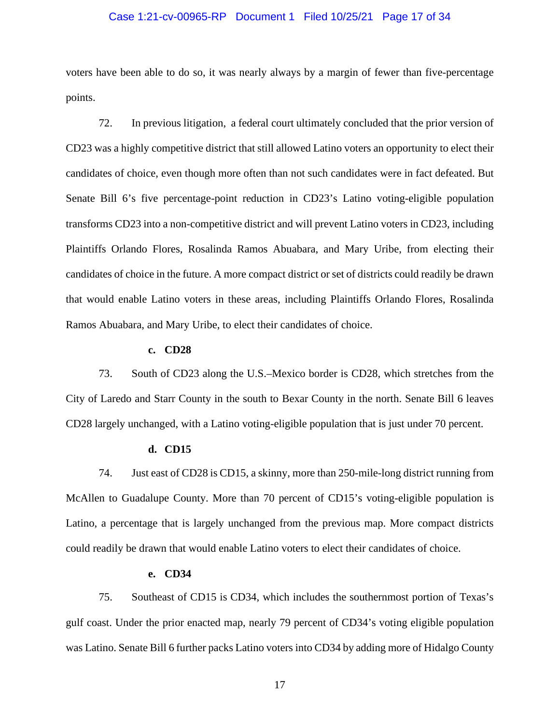# Case 1:21-cv-00965-RP Document 1 Filed 10/25/21 Page 17 of 34

voters have been able to do so, it was nearly always by a margin of fewer than five-percentage points.

72. In previous litigation, a federal court ultimately concluded that the prior version of CD23 was a highly competitive district that still allowed Latino voters an opportunity to elect their candidates of choice, even though more often than not such candidates were in fact defeated. But Senate Bill 6's five percentage-point reduction in CD23's Latino voting-eligible population transforms CD23 into a non-competitive district and will prevent Latino voters in CD23, including Plaintiffs Orlando Flores, Rosalinda Ramos Abuabara, and Mary Uribe, from electing their candidates of choice in the future. A more compact district or set of districts could readily be drawn that would enable Latino voters in these areas, including Plaintiffs Orlando Flores, Rosalinda Ramos Abuabara, and Mary Uribe, to elect their candidates of choice.

# **c. CD28**

73. South of CD23 along the U.S.–Mexico border is CD28, which stretches from the City of Laredo and Starr County in the south to Bexar County in the north. Senate Bill 6 leaves CD28 largely unchanged, with a Latino voting-eligible population that is just under 70 percent.

#### **d. CD15**

74. Just east of CD28 is CD15, a skinny, more than 250-mile-long district running from McAllen to Guadalupe County. More than 70 percent of CD15's voting-eligible population is Latino, a percentage that is largely unchanged from the previous map. More compact districts could readily be drawn that would enable Latino voters to elect their candidates of choice.

# **e. CD34**

75. Southeast of CD15 is CD34, which includes the southernmost portion of Texas's gulf coast. Under the prior enacted map, nearly 79 percent of CD34's voting eligible population was Latino. Senate Bill 6 further packs Latino voters into CD34 by adding more of Hidalgo County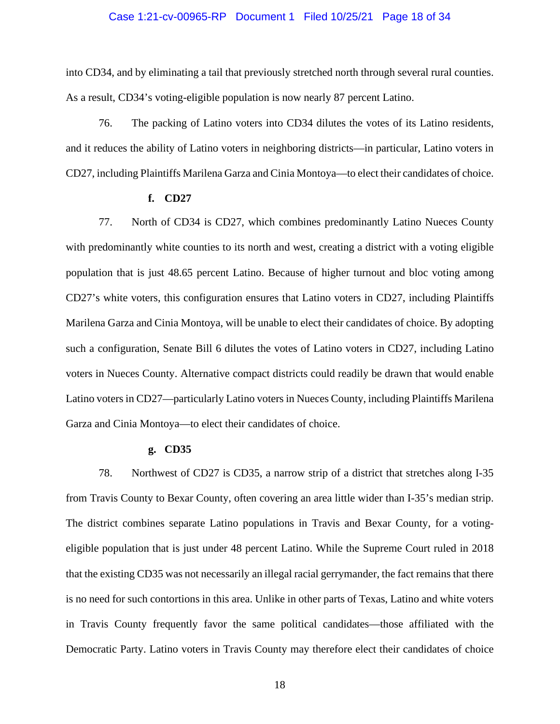# Case 1:21-cv-00965-RP Document 1 Filed 10/25/21 Page 18 of 34

into CD34, and by eliminating a tail that previously stretched north through several rural counties. As a result, CD34's voting-eligible population is now nearly 87 percent Latino.

76. The packing of Latino voters into CD34 dilutes the votes of its Latino residents, and it reduces the ability of Latino voters in neighboring districts—in particular, Latino voters in CD27, including Plaintiffs Marilena Garza and Cinia Montoya—to elect their candidates of choice.

#### **f. CD27**

77. North of CD34 is CD27, which combines predominantly Latino Nueces County with predominantly white counties to its north and west, creating a district with a voting eligible population that is just 48.65 percent Latino. Because of higher turnout and bloc voting among CD27's white voters, this configuration ensures that Latino voters in CD27, including Plaintiffs Marilena Garza and Cinia Montoya, will be unable to elect their candidates of choice. By adopting such a configuration, Senate Bill 6 dilutes the votes of Latino voters in CD27, including Latino voters in Nueces County. Alternative compact districts could readily be drawn that would enable Latino voters in CD27—particularly Latino voters in Nueces County, including Plaintiffs Marilena Garza and Cinia Montoya—to elect their candidates of choice.

#### **g. CD35**

78. Northwest of CD27 is CD35, a narrow strip of a district that stretches along I-35 from Travis County to Bexar County, often covering an area little wider than I-35's median strip. The district combines separate Latino populations in Travis and Bexar County, for a votingeligible population that is just under 48 percent Latino. While the Supreme Court ruled in 2018 that the existing CD35 was not necessarily an illegal racial gerrymander, the fact remains that there is no need for such contortions in this area. Unlike in other parts of Texas, Latino and white voters in Travis County frequently favor the same political candidates—those affiliated with the Democratic Party. Latino voters in Travis County may therefore elect their candidates of choice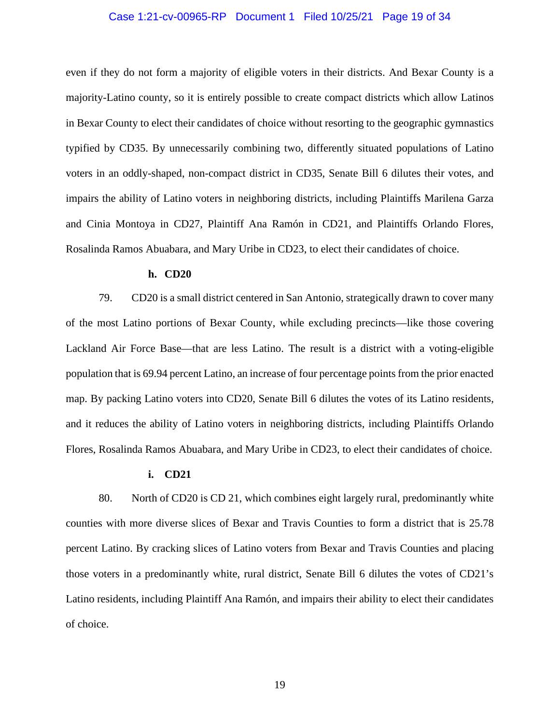# Case 1:21-cv-00965-RP Document 1 Filed 10/25/21 Page 19 of 34

even if they do not form a majority of eligible voters in their districts. And Bexar County is a majority-Latino county, so it is entirely possible to create compact districts which allow Latinos in Bexar County to elect their candidates of choice without resorting to the geographic gymnastics typified by CD35. By unnecessarily combining two, differently situated populations of Latino voters in an oddly-shaped, non-compact district in CD35, Senate Bill 6 dilutes their votes, and impairs the ability of Latino voters in neighboring districts, including Plaintiffs Marilena Garza and Cinia Montoya in CD27, Plaintiff Ana Ramón in CD21, and Plaintiffs Orlando Flores, Rosalinda Ramos Abuabara, and Mary Uribe in CD23, to elect their candidates of choice.

#### **h. CD20**

79. CD20 is a small district centered in San Antonio, strategically drawn to cover many of the most Latino portions of Bexar County, while excluding precincts—like those covering Lackland Air Force Base—that are less Latino. The result is a district with a voting-eligible population that is 69.94 percent Latino, an increase of four percentage points from the prior enacted map. By packing Latino voters into CD20, Senate Bill 6 dilutes the votes of its Latino residents, and it reduces the ability of Latino voters in neighboring districts, including Plaintiffs Orlando Flores, Rosalinda Ramos Abuabara, and Mary Uribe in CD23, to elect their candidates of choice.

# **i. CD21**

80. North of CD20 is CD 21, which combines eight largely rural, predominantly white counties with more diverse slices of Bexar and Travis Counties to form a district that is 25.78 percent Latino. By cracking slices of Latino voters from Bexar and Travis Counties and placing those voters in a predominantly white, rural district, Senate Bill 6 dilutes the votes of CD21's Latino residents, including Plaintiff Ana Ramón, and impairs their ability to elect their candidates of choice.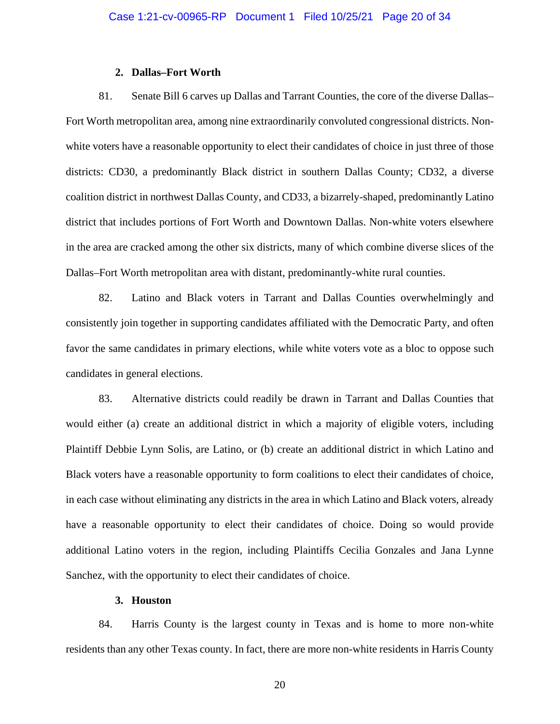# **2. Dallas–Fort Worth**

81. Senate Bill 6 carves up Dallas and Tarrant Counties, the core of the diverse Dallas– Fort Worth metropolitan area, among nine extraordinarily convoluted congressional districts. Nonwhite voters have a reasonable opportunity to elect their candidates of choice in just three of those districts: CD30, a predominantly Black district in southern Dallas County; CD32, a diverse coalition district in northwest Dallas County, and CD33, a bizarrely-shaped, predominantly Latino district that includes portions of Fort Worth and Downtown Dallas. Non-white voters elsewhere in the area are cracked among the other six districts, many of which combine diverse slices of the Dallas–Fort Worth metropolitan area with distant, predominantly-white rural counties.

82. Latino and Black voters in Tarrant and Dallas Counties overwhelmingly and consistently join together in supporting candidates affiliated with the Democratic Party, and often favor the same candidates in primary elections, while white voters vote as a bloc to oppose such candidates in general elections.

83. Alternative districts could readily be drawn in Tarrant and Dallas Counties that would either (a) create an additional district in which a majority of eligible voters, including Plaintiff Debbie Lynn Solis, are Latino, or (b) create an additional district in which Latino and Black voters have a reasonable opportunity to form coalitions to elect their candidates of choice, in each case without eliminating any districts in the area in which Latino and Black voters, already have a reasonable opportunity to elect their candidates of choice. Doing so would provide additional Latino voters in the region, including Plaintiffs Cecilia Gonzales and Jana Lynne Sanchez, with the opportunity to elect their candidates of choice.

# **3. Houston**

84. Harris County is the largest county in Texas and is home to more non-white residents than any other Texas county. In fact, there are more non-white residents in Harris County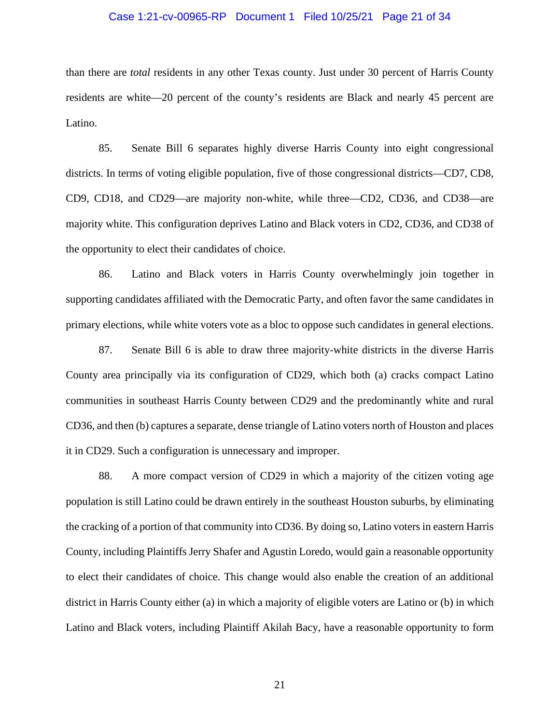# Case 1:21-cv-00965-RP Document 1 Filed 10/25/21 Page 21 of 34

than there are *total* residents in any other Texas county. Just under 30 percent of Harris County residents are white—20 percent of the county's residents are Black and nearly 45 percent are Latino.

85. Senate Bill 6 separates highly diverse Harris County into eight congressional districts. In terms of voting eligible population, five of those congressional districts—CD7, CD8, CD9, CD18, and CD29—are majority non-white, while three—CD2, CD36, and CD38—are majority white. This configuration deprives Latino and Black voters in CD2, CD36, and CD38 of the opportunity to elect their candidates of choice.

86. Latino and Black voters in Harris County overwhelmingly join together in supporting candidates affiliated with the Democratic Party, and often favor the same candidates in primary elections, while white voters vote as a bloc to oppose such candidates in general elections.

87. Senate Bill 6 is able to draw three majority-white districts in the diverse Harris County area principally via its configuration of CD29, which both (a) cracks compact Latino communities in southeast Harris County between CD29 and the predominantly white and rural CD36, and then (b) captures a separate, dense triangle of Latino voters north of Houston and places it in CD29. Such a configuration is unnecessary and improper.

88. A more compact version of CD29 in which a majority of the citizen voting age population is still Latino could be drawn entirely in the southeast Houston suburbs, by eliminating the cracking of a portion of that community into CD36. By doing so, Latino voters in eastern Harris County, including Plaintiffs Jerry Shafer and Agustin Loredo, would gain a reasonable opportunity to elect their candidates of choice. This change would also enable the creation of an additional district in Harris County either (a) in which a majority of eligible voters are Latino or (b) in which Latino and Black voters, including Plaintiff Akilah Bacy, have a reasonable opportunity to form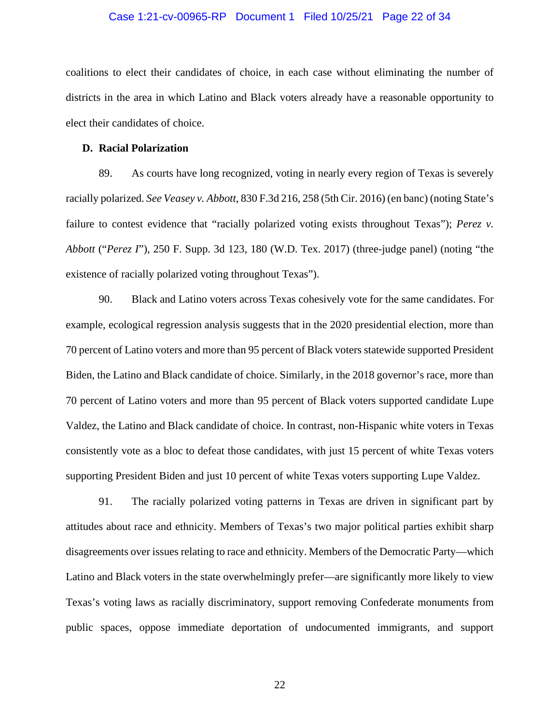# Case 1:21-cv-00965-RP Document 1 Filed 10/25/21 Page 22 of 34

coalitions to elect their candidates of choice, in each case without eliminating the number of districts in the area in which Latino and Black voters already have a reasonable opportunity to elect their candidates of choice.

## **D. Racial Polarization**

89. As courts have long recognized, voting in nearly every region of Texas is severely racially polarized. *See Veasey v. Abbott*, 830 F.3d 216, 258 (5th Cir. 2016) (en banc) (noting State's failure to contest evidence that "racially polarized voting exists throughout Texas"); *Perez v. Abbott* ("*Perez I*"), 250 F. Supp. 3d 123, 180 (W.D. Tex. 2017) (three-judge panel) (noting "the existence of racially polarized voting throughout Texas").

90. Black and Latino voters across Texas cohesively vote for the same candidates. For example, ecological regression analysis suggests that in the 2020 presidential election, more than 70 percent of Latino voters and more than 95 percent of Black voters statewide supported President Biden, the Latino and Black candidate of choice. Similarly, in the 2018 governor's race, more than 70 percent of Latino voters and more than 95 percent of Black voters supported candidate Lupe Valdez, the Latino and Black candidate of choice. In contrast, non-Hispanic white voters in Texas consistently vote as a bloc to defeat those candidates, with just 15 percent of white Texas voters supporting President Biden and just 10 percent of white Texas voters supporting Lupe Valdez.

91. The racially polarized voting patterns in Texas are driven in significant part by attitudes about race and ethnicity. Members of Texas's two major political parties exhibit sharp disagreements over issues relating to race and ethnicity. Members of the Democratic Party—which Latino and Black voters in the state overwhelmingly prefer—are significantly more likely to view Texas's voting laws as racially discriminatory, support removing Confederate monuments from public spaces, oppose immediate deportation of undocumented immigrants, and support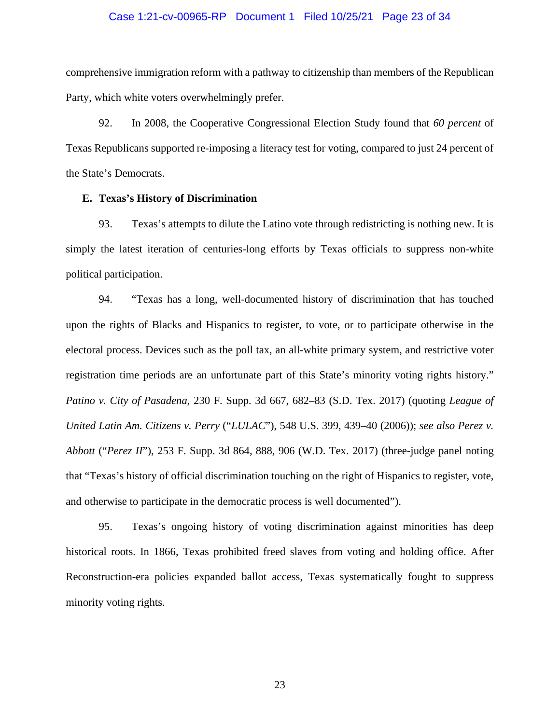# Case 1:21-cv-00965-RP Document 1 Filed 10/25/21 Page 23 of 34

comprehensive immigration reform with a pathway to citizenship than members of the Republican Party, which white voters overwhelmingly prefer.

92. In 2008, the Cooperative Congressional Election Study found that *60 percent* of Texas Republicans supported re-imposing a literacy test for voting, compared to just 24 percent of the State's Democrats.

# **E. Texas's History of Discrimination**

93. Texas's attempts to dilute the Latino vote through redistricting is nothing new. It is simply the latest iteration of centuries-long efforts by Texas officials to suppress non-white political participation.

94. "Texas has a long, well-documented history of discrimination that has touched upon the rights of Blacks and Hispanics to register, to vote, or to participate otherwise in the electoral process. Devices such as the poll tax, an all-white primary system, and restrictive voter registration time periods are an unfortunate part of this State's minority voting rights history." *Patino v. City of Pasadena*, 230 F. Supp. 3d 667, 682–83 (S.D. Tex. 2017) (quoting *League of United Latin Am. Citizens v. Perry* ("*LULAC*"), 548 U.S. 399, 439–40 (2006)); *see also Perez v. Abbott* ("*Perez II*"), 253 F. Supp. 3d 864, 888, 906 (W.D. Tex. 2017) (three-judge panel noting that "Texas's history of official discrimination touching on the right of Hispanics to register, vote, and otherwise to participate in the democratic process is well documented").

95. Texas's ongoing history of voting discrimination against minorities has deep historical roots. In 1866, Texas prohibited freed slaves from voting and holding office. After Reconstruction-era policies expanded ballot access, Texas systematically fought to suppress minority voting rights.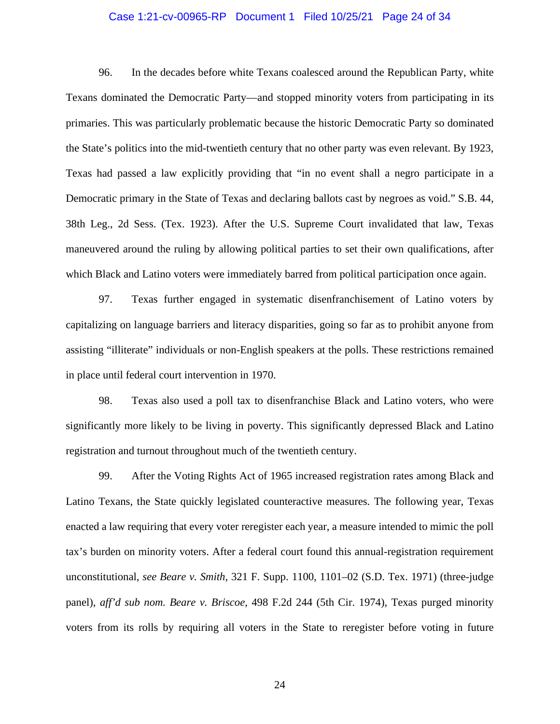# Case 1:21-cv-00965-RP Document 1 Filed 10/25/21 Page 24 of 34

96. In the decades before white Texans coalesced around the Republican Party, white Texans dominated the Democratic Party—and stopped minority voters from participating in its primaries. This was particularly problematic because the historic Democratic Party so dominated the State's politics into the mid-twentieth century that no other party was even relevant. By 1923, Texas had passed a law explicitly providing that "in no event shall a negro participate in a Democratic primary in the State of Texas and declaring ballots cast by negroes as void." S.B. 44, 38th Leg., 2d Sess. (Tex. 1923). After the U.S. Supreme Court invalidated that law, Texas maneuvered around the ruling by allowing political parties to set their own qualifications, after which Black and Latino voters were immediately barred from political participation once again.

97. Texas further engaged in systematic disenfranchisement of Latino voters by capitalizing on language barriers and literacy disparities, going so far as to prohibit anyone from assisting "illiterate" individuals or non-English speakers at the polls. These restrictions remained in place until federal court intervention in 1970.

98. Texas also used a poll tax to disenfranchise Black and Latino voters, who were significantly more likely to be living in poverty. This significantly depressed Black and Latino registration and turnout throughout much of the twentieth century.

99. After the Voting Rights Act of 1965 increased registration rates among Black and Latino Texans, the State quickly legislated counteractive measures. The following year, Texas enacted a law requiring that every voter reregister each year, a measure intended to mimic the poll tax's burden on minority voters. After a federal court found this annual-registration requirement unconstitutional, *see Beare v. Smith*, 321 F. Supp. 1100, 1101–02 (S.D. Tex. 1971) (three-judge panel), *aff'd sub nom. Beare v. Briscoe*, 498 F.2d 244 (5th Cir. 1974), Texas purged minority voters from its rolls by requiring all voters in the State to reregister before voting in future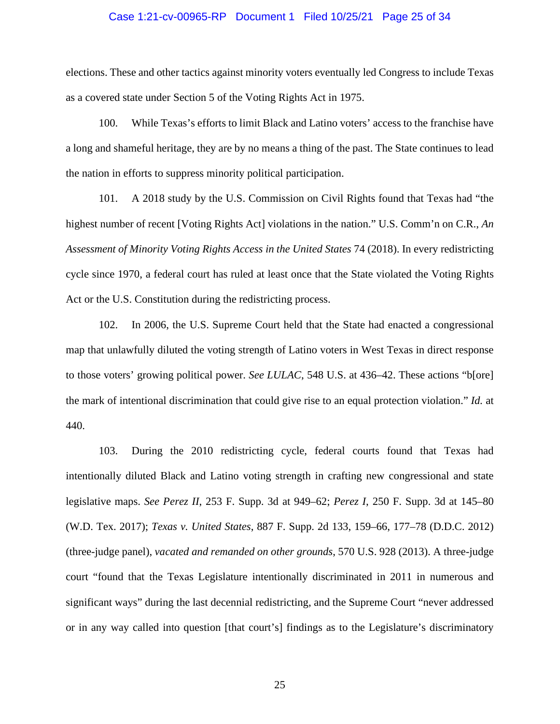# Case 1:21-cv-00965-RP Document 1 Filed 10/25/21 Page 25 of 34

elections. These and other tactics against minority voters eventually led Congress to include Texas as a covered state under Section 5 of the Voting Rights Act in 1975.

100. While Texas's efforts to limit Black and Latino voters' access to the franchise have a long and shameful heritage, they are by no means a thing of the past. The State continues to lead the nation in efforts to suppress minority political participation.

101. A 2018 study by the U.S. Commission on Civil Rights found that Texas had "the highest number of recent [Voting Rights Act] violations in the nation." U.S. Comm'n on C.R., *An Assessment of Minority Voting Rights Access in the United States* 74 (2018). In every redistricting cycle since 1970, a federal court has ruled at least once that the State violated the Voting Rights Act or the U.S. Constitution during the redistricting process.

102. In 2006, the U.S. Supreme Court held that the State had enacted a congressional map that unlawfully diluted the voting strength of Latino voters in West Texas in direct response to those voters' growing political power. *See LULAC*, 548 U.S. at 436–42. These actions "b[ore] the mark of intentional discrimination that could give rise to an equal protection violation." *Id.* at 440.

103. During the 2010 redistricting cycle, federal courts found that Texas had intentionally diluted Black and Latino voting strength in crafting new congressional and state legislative maps. *See Perez II*, 253 F. Supp. 3d at 949–62; *Perez I*, 250 F. Supp. 3d at 145–80 (W.D. Tex. 2017); *Texas v. United States*, 887 F. Supp. 2d 133, 159–66, 177–78 (D.D.C. 2012) (three-judge panel), *vacated and remanded on other grounds*, 570 U.S. 928 (2013). A three-judge court "found that the Texas Legislature intentionally discriminated in 2011 in numerous and significant ways" during the last decennial redistricting, and the Supreme Court "never addressed or in any way called into question [that court's] findings as to the Legislature's discriminatory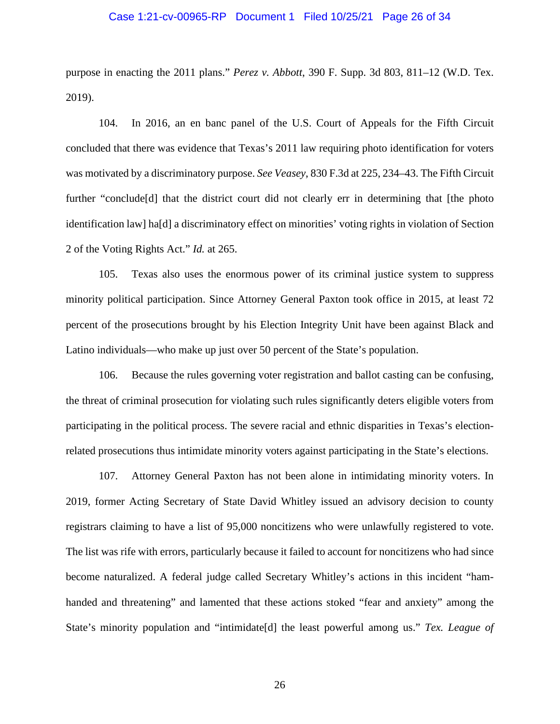# Case 1:21-cv-00965-RP Document 1 Filed 10/25/21 Page 26 of 34

purpose in enacting the 2011 plans." *Perez v. Abbott*, 390 F. Supp. 3d 803, 811–12 (W.D. Tex. 2019).

104. In 2016, an en banc panel of the U.S. Court of Appeals for the Fifth Circuit concluded that there was evidence that Texas's 2011 law requiring photo identification for voters was motivated by a discriminatory purpose. *See Veasey*, 830 F.3d at 225, 234–43. The Fifth Circuit further "conclude[d] that the district court did not clearly err in determining that [the photo identification law] ha[d] a discriminatory effect on minorities' voting rights in violation of Section 2 of the Voting Rights Act." *Id.* at 265.

105. Texas also uses the enormous power of its criminal justice system to suppress minority political participation. Since Attorney General Paxton took office in 2015, at least 72 percent of the prosecutions brought by his Election Integrity Unit have been against Black and Latino individuals—who make up just over 50 percent of the State's population.

106. Because the rules governing voter registration and ballot casting can be confusing, the threat of criminal prosecution for violating such rules significantly deters eligible voters from participating in the political process. The severe racial and ethnic disparities in Texas's electionrelated prosecutions thus intimidate minority voters against participating in the State's elections.

107. Attorney General Paxton has not been alone in intimidating minority voters. In 2019, former Acting Secretary of State David Whitley issued an advisory decision to county registrars claiming to have a list of 95,000 noncitizens who were unlawfully registered to vote. The list was rife with errors, particularly because it failed to account for noncitizens who had since become naturalized. A federal judge called Secretary Whitley's actions in this incident "hamhanded and threatening" and lamented that these actions stoked "fear and anxiety" among the State's minority population and "intimidate[d] the least powerful among us." *Tex. League of*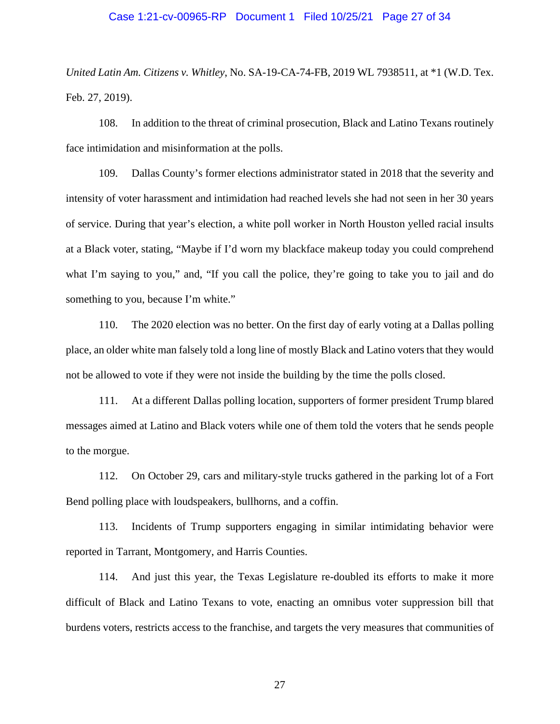# Case 1:21-cv-00965-RP Document 1 Filed 10/25/21 Page 27 of 34

*United Latin Am. Citizens v. Whitley*, No. SA-19-CA-74-FB, 2019 WL 7938511, at \*1 (W.D. Tex. Feb. 27, 2019).

108. In addition to the threat of criminal prosecution, Black and Latino Texans routinely face intimidation and misinformation at the polls.

109. Dallas County's former elections administrator stated in 2018 that the severity and intensity of voter harassment and intimidation had reached levels she had not seen in her 30 years of service. During that year's election, a white poll worker in North Houston yelled racial insults at a Black voter, stating, "Maybe if I'd worn my blackface makeup today you could comprehend what I'm saying to you," and, "If you call the police, they're going to take you to jail and do something to you, because I'm white."

110. The 2020 election was no better. On the first day of early voting at a Dallas polling place, an older white man falsely told a long line of mostly Black and Latino voters that they would not be allowed to vote if they were not inside the building by the time the polls closed.

111. At a different Dallas polling location, supporters of former president Trump blared messages aimed at Latino and Black voters while one of them told the voters that he sends people to the morgue.

112. On October 29, cars and military-style trucks gathered in the parking lot of a Fort Bend polling place with loudspeakers, bullhorns, and a coffin.

113. Incidents of Trump supporters engaging in similar intimidating behavior were reported in Tarrant, Montgomery, and Harris Counties.

114. And just this year, the Texas Legislature re-doubled its efforts to make it more difficult of Black and Latino Texans to vote, enacting an omnibus voter suppression bill that burdens voters, restricts access to the franchise, and targets the very measures that communities of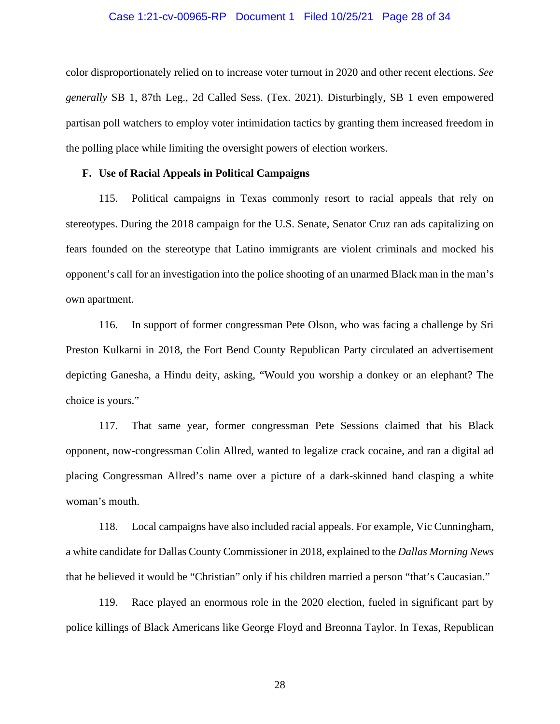# Case 1:21-cv-00965-RP Document 1 Filed 10/25/21 Page 28 of 34

color disproportionately relied on to increase voter turnout in 2020 and other recent elections. *See generally* SB 1, 87th Leg., 2d Called Sess. (Tex. 2021). Disturbingly, SB 1 even empowered partisan poll watchers to employ voter intimidation tactics by granting them increased freedom in the polling place while limiting the oversight powers of election workers.

# **F. Use of Racial Appeals in Political Campaigns**

115. Political campaigns in Texas commonly resort to racial appeals that rely on stereotypes. During the 2018 campaign for the U.S. Senate, Senator Cruz ran ads capitalizing on fears founded on the stereotype that Latino immigrants are violent criminals and mocked his opponent's call for an investigation into the police shooting of an unarmed Black man in the man's own apartment.

116. In support of former congressman Pete Olson, who was facing a challenge by Sri Preston Kulkarni in 2018, the Fort Bend County Republican Party circulated an advertisement depicting Ganesha, a Hindu deity, asking, "Would you worship a donkey or an elephant? The choice is yours."

117. That same year, former congressman Pete Sessions claimed that his Black opponent, now-congressman Colin Allred, wanted to legalize crack cocaine, and ran a digital ad placing Congressman Allred's name over a picture of a dark-skinned hand clasping a white woman's mouth.

118. Local campaigns have also included racial appeals. For example, Vic Cunningham, a white candidate for Dallas County Commissioner in 2018, explained to the *Dallas Morning News* that he believed it would be "Christian" only if his children married a person "that's Caucasian."

119. Race played an enormous role in the 2020 election, fueled in significant part by police killings of Black Americans like George Floyd and Breonna Taylor. In Texas, Republican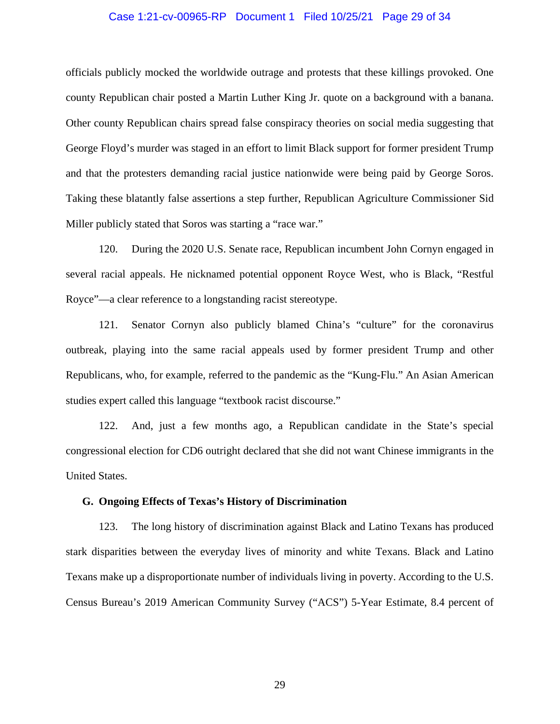# Case 1:21-cv-00965-RP Document 1 Filed 10/25/21 Page 29 of 34

officials publicly mocked the worldwide outrage and protests that these killings provoked. One county Republican chair posted a Martin Luther King Jr. quote on a background with a banana. Other county Republican chairs spread false conspiracy theories on social media suggesting that George Floyd's murder was staged in an effort to limit Black support for former president Trump and that the protesters demanding racial justice nationwide were being paid by George Soros. Taking these blatantly false assertions a step further, Republican Agriculture Commissioner Sid Miller publicly stated that Soros was starting a "race war."

120. During the 2020 U.S. Senate race, Republican incumbent John Cornyn engaged in several racial appeals. He nicknamed potential opponent Royce West, who is Black, "Restful Royce"—a clear reference to a longstanding racist stereotype.

121. Senator Cornyn also publicly blamed China's "culture" for the coronavirus outbreak, playing into the same racial appeals used by former president Trump and other Republicans, who, for example, referred to the pandemic as the "Kung-Flu." An Asian American studies expert called this language "textbook racist discourse."

122. And, just a few months ago, a Republican candidate in the State's special congressional election for CD6 outright declared that she did not want Chinese immigrants in the United States.

#### **G. Ongoing Effects of Texas's History of Discrimination**

123. The long history of discrimination against Black and Latino Texans has produced stark disparities between the everyday lives of minority and white Texans. Black and Latino Texans make up a disproportionate number of individuals living in poverty. According to the U.S. Census Bureau's 2019 American Community Survey ("ACS") 5-Year Estimate, 8.4 percent of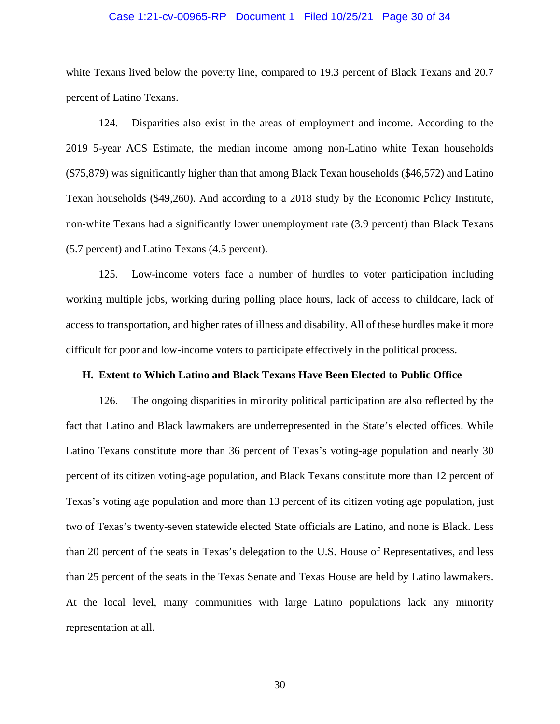# Case 1:21-cv-00965-RP Document 1 Filed 10/25/21 Page 30 of 34

white Texans lived below the poverty line, compared to 19.3 percent of Black Texans and 20.7 percent of Latino Texans.

124. Disparities also exist in the areas of employment and income. According to the 2019 5-year ACS Estimate, the median income among non-Latino white Texan households (\$75,879) was significantly higher than that among Black Texan households (\$46,572) and Latino Texan households (\$49,260). And according to a 2018 study by the Economic Policy Institute, non-white Texans had a significantly lower unemployment rate (3.9 percent) than Black Texans (5.7 percent) and Latino Texans (4.5 percent).

125. Low-income voters face a number of hurdles to voter participation including working multiple jobs, working during polling place hours, lack of access to childcare, lack of access to transportation, and higher rates of illness and disability. All of these hurdles make it more difficult for poor and low-income voters to participate effectively in the political process.

# **H. Extent to Which Latino and Black Texans Have Been Elected to Public Office**

126. The ongoing disparities in minority political participation are also reflected by the fact that Latino and Black lawmakers are underrepresented in the State's elected offices. While Latino Texans constitute more than 36 percent of Texas's voting-age population and nearly 30 percent of its citizen voting-age population, and Black Texans constitute more than 12 percent of Texas's voting age population and more than 13 percent of its citizen voting age population, just two of Texas's twenty-seven statewide elected State officials are Latino, and none is Black. Less than 20 percent of the seats in Texas's delegation to the U.S. House of Representatives, and less than 25 percent of the seats in the Texas Senate and Texas House are held by Latino lawmakers. At the local level, many communities with large Latino populations lack any minority representation at all.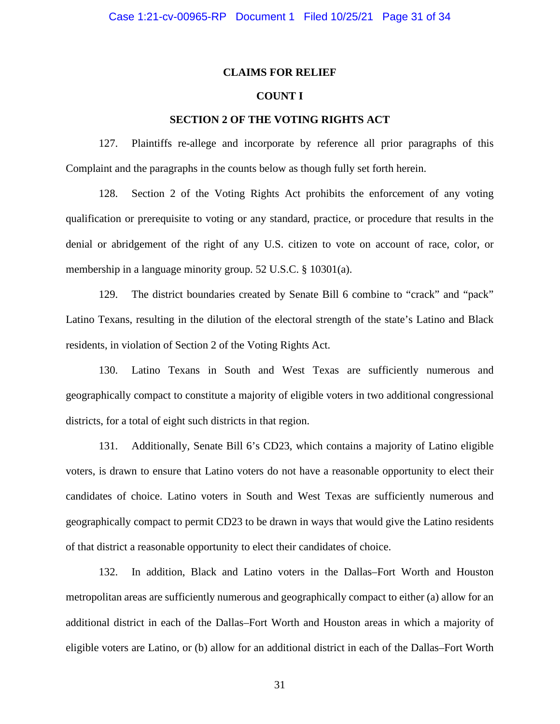# **CLAIMS FOR RELIEF**

# **COUNT I**

# **SECTION 2 OF THE VOTING RIGHTS ACT**

127. Plaintiffs re-allege and incorporate by reference all prior paragraphs of this Complaint and the paragraphs in the counts below as though fully set forth herein.

128. Section 2 of the Voting Rights Act prohibits the enforcement of any voting qualification or prerequisite to voting or any standard, practice, or procedure that results in the denial or abridgement of the right of any U.S. citizen to vote on account of race, color, or membership in a language minority group. 52 U.S.C. § 10301(a).

129. The district boundaries created by Senate Bill 6 combine to "crack" and "pack" Latino Texans, resulting in the dilution of the electoral strength of the state's Latino and Black residents, in violation of Section 2 of the Voting Rights Act.

130. Latino Texans in South and West Texas are sufficiently numerous and geographically compact to constitute a majority of eligible voters in two additional congressional districts, for a total of eight such districts in that region.

131. Additionally, Senate Bill 6's CD23, which contains a majority of Latino eligible voters, is drawn to ensure that Latino voters do not have a reasonable opportunity to elect their candidates of choice. Latino voters in South and West Texas are sufficiently numerous and geographically compact to permit CD23 to be drawn in ways that would give the Latino residents of that district a reasonable opportunity to elect their candidates of choice.

132. In addition, Black and Latino voters in the Dallas–Fort Worth and Houston metropolitan areas are sufficiently numerous and geographically compact to either (a) allow for an additional district in each of the Dallas–Fort Worth and Houston areas in which a majority of eligible voters are Latino, or (b) allow for an additional district in each of the Dallas–Fort Worth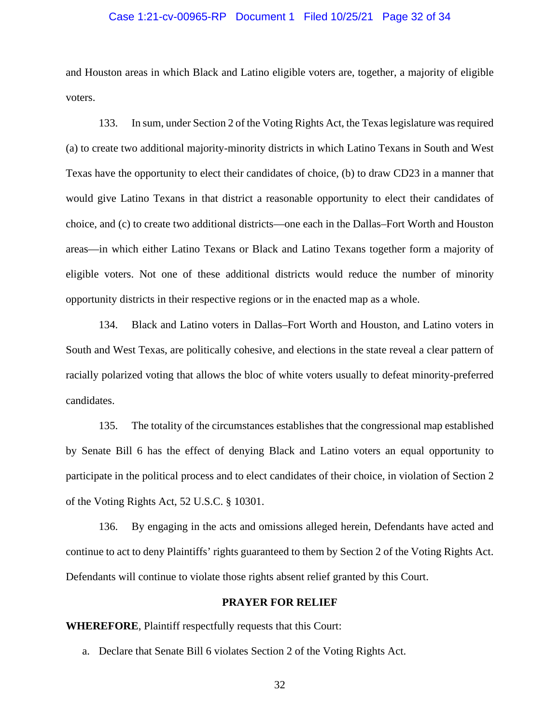# Case 1:21-cv-00965-RP Document 1 Filed 10/25/21 Page 32 of 34

and Houston areas in which Black and Latino eligible voters are, together, a majority of eligible voters.

133. In sum, under Section 2 of the Voting Rights Act, the Texas legislature was required (a) to create two additional majority-minority districts in which Latino Texans in South and West Texas have the opportunity to elect their candidates of choice, (b) to draw CD23 in a manner that would give Latino Texans in that district a reasonable opportunity to elect their candidates of choice, and (c) to create two additional districts—one each in the Dallas–Fort Worth and Houston areas—in which either Latino Texans or Black and Latino Texans together form a majority of eligible voters. Not one of these additional districts would reduce the number of minority opportunity districts in their respective regions or in the enacted map as a whole.

134. Black and Latino voters in Dallas–Fort Worth and Houston, and Latino voters in South and West Texas, are politically cohesive, and elections in the state reveal a clear pattern of racially polarized voting that allows the bloc of white voters usually to defeat minority-preferred candidates.

135. The totality of the circumstances establishes that the congressional map established by Senate Bill 6 has the effect of denying Black and Latino voters an equal opportunity to participate in the political process and to elect candidates of their choice, in violation of Section 2 of the Voting Rights Act, 52 U.S.C. § 10301.

136. By engaging in the acts and omissions alleged herein, Defendants have acted and continue to act to deny Plaintiffs' rights guaranteed to them by Section 2 of the Voting Rights Act. Defendants will continue to violate those rights absent relief granted by this Court.

# **PRAYER FOR RELIEF**

**WHEREFORE**, Plaintiff respectfully requests that this Court:

a. Declare that Senate Bill 6 violates Section 2 of the Voting Rights Act.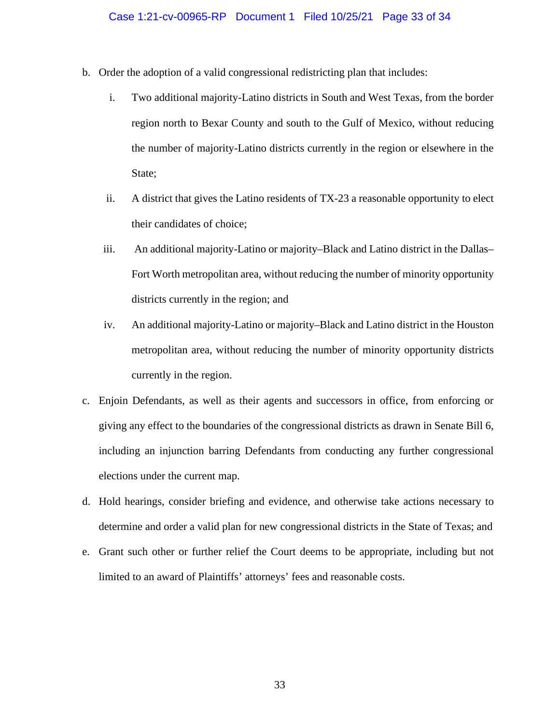- b. Order the adoption of a valid congressional redistricting plan that includes:
	- i. Two additional majority-Latino districts in South and West Texas, from the border region north to Bexar County and south to the Gulf of Mexico, without reducing the number of majority-Latino districts currently in the region or elsewhere in the State;
	- ii. A district that gives the Latino residents of TX-23 a reasonable opportunity to elect their candidates of choice;
	- iii. An additional majority-Latino or majority–Black and Latino district in the Dallas– Fort Worth metropolitan area, without reducing the number of minority opportunity districts currently in the region; and
	- iv. An additional majority-Latino or majority–Black and Latino district in the Houston metropolitan area, without reducing the number of minority opportunity districts currently in the region.
- c. Enjoin Defendants, as well as their agents and successors in office, from enforcing or giving any effect to the boundaries of the congressional districts as drawn in Senate Bill 6, including an injunction barring Defendants from conducting any further congressional elections under the current map.
- d. Hold hearings, consider briefing and evidence, and otherwise take actions necessary to determine and order a valid plan for new congressional districts in the State of Texas; and
- e. Grant such other or further relief the Court deems to be appropriate, including but not limited to an award of Plaintiffs' attorneys' fees and reasonable costs.